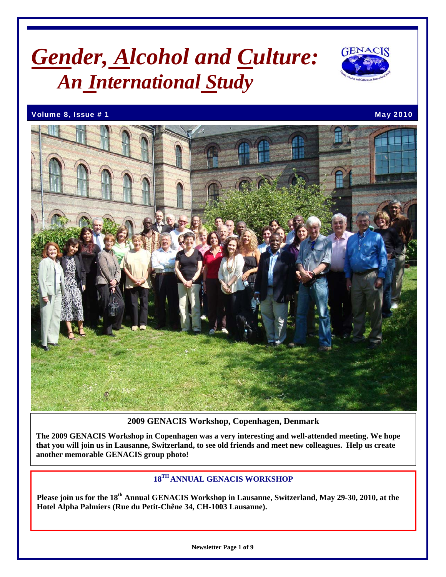## *Gender, Alcohol and Culture: An International Study*



Volume 8, Issue # 1 May 2010 12:00 November 2010 12:00 November 2010 12:00 November 2010



**2009 GENACIS Workshop, Copenhagen, Denmark** 

**The 2009 GENACIS Workshop in Copenhagen was a very interesting and well-attended meeting. We hope that you will join us in Lausanne, Switzerland, to see old friends and meet new colleagues. Help us create another memorable GENACIS group photo!** 

## **18TH ANNUAL GENACIS WORKSHOP**

**Please join us for the 18th Annual GENACIS Workshop in Lausanne, Switzerland, May 29-30, 2010, at the Hotel Alpha Palmiers (Rue du Petit-Chêne 34, CH-1003 Lausanne).**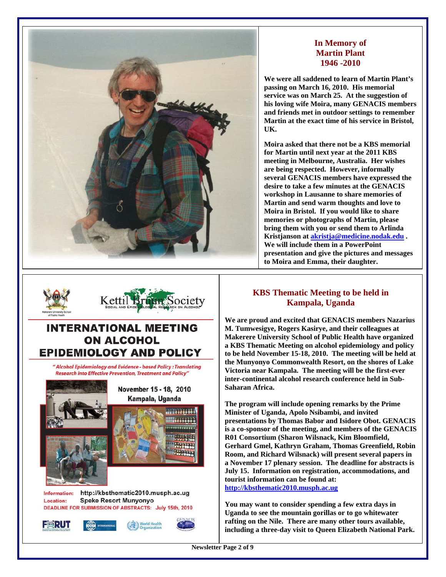

### **In Memory of Martin Plant 1946 -2010**

**We were all saddened to learn of Martin Plant's passing on March 16, 2010. His memorial service was on March 25. At the suggestion of his loving wife Moira, many GENACIS members and friends met in outdoor settings to remember Martin at the exact time of his service in Bristol, UK.** 

**Moira asked that there not be a KBS memorial for Martin until next year at the 2011 KBS meeting in Melbourne, Australia. Her wishes are being respected. However, informally several GENACIS members have expressed the desire to take a few minutes at the GENACIS workshop in Lausanne to share memories of Martin and send warm thoughts and love to Moira in Bristol. If you would like to share memories or photographs of Martin, please bring them with you or send them to Arlinda Kristjanson at [akristja@medicine.nodak.edu](mailto:akristja@medicine.nodak.edu) . We will include them in a PowerPoint presentation and give the pictures and messages to Moira and Emma, their daughter.** 



" Alcohol Epidemiology and Evidence - based Policy : Translating **Research into Effective Prevention, Treatment and Policy"** 



## **KBS Thematic Meeting to be held in Kampala, Uganda**

**We are proud and excited that GENACIS members Nazarius M. Tumwesigye, Rogers Kasirye, and their colleagues at Makerere University School of Public Health have organized a KBS Thematic Meeting on alcohol epidemiology and policy to be held November 15-18, 2010. The meeting will be held at the Munyonyo Commonwealth Resort, on the shores of Lake Victoria near Kampala. The meeting will be the first-ever inter-continental alcohol research conference held in Sub-Saharan Africa.** 

**The program will include opening remarks by the Prime Minister of Uganda, Apolo Nsibambi, and invited presentations by Thomas Babor and Isidore Obot. GENACIS is a co-sponsor of the meeting, and members of the GENACIS R01 Consortium (Sharon Wilsnack, Kim Bloomfield, Gerhard Gmel, Kathryn Graham, Thomas Greenfield, Robin Room, and Richard Wilsnack) will present several papers in a November 17 plenary session. The deadline for abstracts is July 15. Information on registration, accommodations, and tourist information can be found at: [http://kbsthematic2010.musph.ac.ug](http://kbsthematic2010.musph.ac.ug/)** 

**You may want to consider spending a few extra days in Uganda to see the mountain gorillas or to go whitewater rafting on the Nile. There are many other tours available, including a three-day visit to Queen Elizabeth National Park.**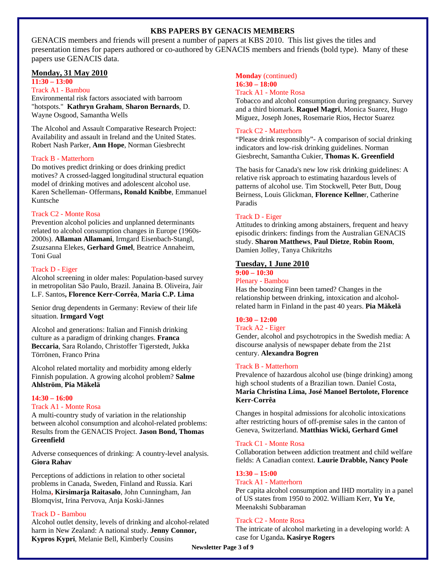#### **KBS PAPERS BY GENACIS MEMBERS**

GENACIS members and friends will present a number of papers at KBS 2010. This list gives the titles and presentation times for papers authored or co-authored by GENACIS members and friends (bold type). Many of these papers use GENACIS data.

#### **Monday, 31 May 2010**

### **11:30 – 13:00**

#### Track A1 - Bambou

Environmental risk factors associated with barroom "hotspots." **Kathryn Graham**, **Sharon Bernards**, D. Wayne Osgood, Samantha Wells

The Alcohol and Assault Comparative Research Project: Availability and assault in Ireland and the United States. Robert Nash Parker, **Ann Hope**, Norman Giesbrecht

#### Track B - Matterhorn

Do motives predict drinking or does drinking predict motives? A crossed-lagged longitudinal structural equation model of drinking motives and adolescent alcohol use. Karen Schelleman- Offermans**, Ronald Knibbe**, Emmanuel Kuntsche

#### Track C2 - Monte Rosa

Prevention alcohol policies and unplanned determinants related to alcohol consumption changes in Europe (1960s-2000s). **Allaman Allamani**, Irmgard Eisenbach-Stangl, Zsuzsanna Elekes, **Gerhard Gmel**, Beatrice Annaheim, Toni Gual

#### Track D - Eiger

Alcohol screening in older males: Population-based survey in metropolitan São Paulo, Brazil. Janaina B. Oliveira, Jair L.F. Santos**, Florence Kerr-Corrêa**, **Maria C.P. Lima**

Senior drug dependents in Germany: Review of their life situation. **Irmgard Vogt**

Alcohol and generations: Italian and Finnish drinking culture as a paradigm of drinking changes. **Franca Beccaria**, Sara Rolando, Christoffer Tigerstedt, Jukka Törrönen, Franco Prina

Alcohol related mortality and morbidity among elderly Finnish population. A growing alcohol problem? **Salme Ahlström**, **Pia Mäkelä**

#### **14:30 – 16:00**

#### Track A1 - Monte Rosa

A multi-country study of variation in the relationship between alcohol consumption and alcohol-related problems: Results from the GENACIS Project. **Jason Bond, Thomas Greenfield** 

Adverse consequences of drinking: A country-level analysis. **Giora Rahav**

Perceptions of addictions in relation to other societal problems in Canada, Sweden, Finland and Russia. Kari Holma**, Kirsimarja Raitasalo**, John Cunningham, Jan Blomqvist, Irina Pervova, Anja Koski-Jännes

#### Track D - Bambou

Alcohol outlet density, levels of drinking and alcohol-related harm in New Zealand: A national study. **Jenny Connor, Kypros Kypri**, Melanie Bell, Kimberly Cousins

#### **Monday** (continued) **16:30 – 18:00**

#### Track A1 - Monte Rosa

Tobacco and alcohol consumption during pregnancy. Survey and a third biomark. **Raquel Magri**, Monica Suarez, Hugo Miguez, Joseph Jones, Rosemarie Rios, Hector Suarez

#### Track C2 - Matterhorn

"Please drink responsibly"- A comparison of social drinking indicators and low-risk drinking guidelines. Norman Giesbrecht, Samantha Cukier, **Thomas K. Greenfield** 

The basis for Canada's new low risk drinking guidelines: A relative risk approach to estimating hazardous levels of patterns of alcohol use. Tim Stockwell, Peter Butt, Doug Beirness, Louis Glickman, **Florence Kellne**r, Catherine Paradis

#### Track D - Eiger

Attitudes to drinking among abstainers, frequent and heavy episodic drinkers: findings from the Australian GENACIS study. **Sharon Matthews**, **Paul Dietze**, **Robin Room**, Damien Jolley, Tanya Chikritzhs

#### **Tuesday, 1 June 2010**

#### **9:00 – 10:30**

Plenary - Bambou Has the boozing Finn been tamed? Changes in the relationship between drinking, intoxication and alcoholrelated harm in Finland in the past 40 years. **Pia Mäkelä** 

#### **10:30 – 12:00**

#### Track A2 - Eiger

Gender, alcohol and psychotropics in the Swedish media: A discourse analysis of newspaper debate from the 21st century. **Alexandra Bogren**

#### Track B - Matterhorn

Prevalence of hazardous alcohol use (binge drinking) among high school students of a Brazilian town. Daniel Costa, **Maria Christina Lima, José Manoel Bertolote, Florence Kerr-Corrêa** 

Changes in hospital admissions for alcoholic intoxications after restricting hours of off-premise sales in the canton of Geneva, Switzerland. **Matthias Wicki, Gerhard Gmel**

#### Track C1 - Monte Rosa

Collaboration between addiction treatment and child welfare fields: A Canadian context. **Laurie Drabble, Nancy Poole**

#### **13:30 – 15:00**

#### Track A1 - Matterhorn

Per capita alcohol consumption and IHD mortality in a panel of US states from 1950 to 2002. William Kerr, **Yu Ye**, Meenakshi Subbaraman

#### Track C2 - Monte Rosa

The intricate of alcohol marketing in a developing world: A case for Uganda**. Kasirye Rogers** 

**Newsletter Page 3 of 9**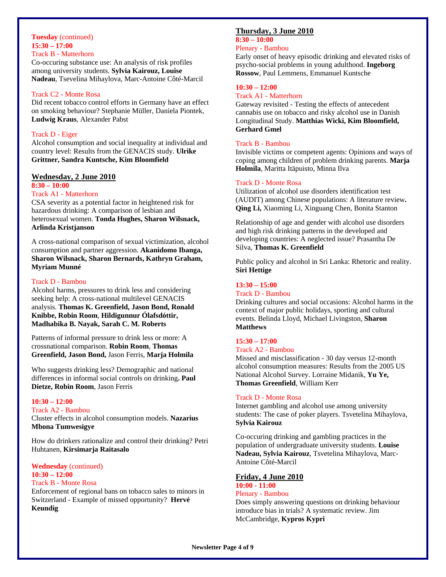#### **Tuesday** (continued) **15:30 – 17:00**  Track B - Matterhorn

Co-occuring substance use: An analysis of risk profiles among university students. **Sylvia Kairouz, Louise Nadeau**, Tsevelina Mihaylova, Marc-Antoine Côté-Marcil

#### Track C2 - Monte Rosa

Did recent tobacco control efforts in Germany have an effect on smoking behaviour? Stephanie Müller, Daniela Piontek, **Ludwig Kraus**, Alexander Pabst

#### Track D - Eiger

Alcohol consumption and social inequality at individual and country level: Results from the GENACIS study. **Ulrike Grittner, Sandra Kuntsche, Kim Bloomfield** 

#### **Wednesday, 2 June 2010**

### **8:30 – 10:00**

#### Track A1 - Matterhorn

CSA severity as a potential factor in heightened risk for hazardous drinking: A comparison of lesbian and heterosexual women. **Tonda Hughes, Sharon Wilsnack, Arlinda Kristjanson**

A cross-national comparison of sexual victimization, alcohol consumption and partner aggression. **Akanidomo Ibanga, Sharon Wilsnack, Sharon Bernards, Kathryn Graham, Myriam Munné** 

#### Track D - Bambou

Alcohol harms, pressures to drink less and considering seeking help: A cross-national multilevel GENACIS analysis. **Thomas K. Greenfield, Jason Bond, Ronald Knibbe, Robin Room**, **Hildigunnur Ólafsdóttir, Madhabika B. Nayak, Sarah C. M. Roberts** 

Patterns of informal pressure to drink less or more: A crossnational comparison. **Robin Room**, **Thomas Greenfield, Jason Bond,** Jason Ferris, **Marja Holmila**

Who suggests drinking less? Demographic and national differences in informal social controls on drinking**. Paul Dietze, Robin Room**, Jason Ferris

#### **10:30 – 12:00**

#### Track A2 - Bambou

Cluster effects in alcohol consumption models. **Nazarius Mbona Tumwesigye**

How do drinkers rationalize and control their drinking? Petri Huhtanen, **Kirsimarja Raitasalo**

#### **Wednesday** (continued) **10:30 – 12:00**  Track B - Monte Rosa

Enforcement of regional bans on tobacco sales to minors in Switzerland - Example of missed opportunity? **Hervé Keundig** 

#### **Thursday, 3 June 2010**

## **8:30 – 10:00**

#### Plenary - Bambou

Early onset of heavy episodic drinking and elevated risks of psycho-social problems in young adulthood. **Ingeborg Rossow**, Paul Lemmens, Emmanuel Kuntsche

#### **10:30 – 12:00**

#### Track A1 - Matterhorn

Gateway revisited - Testing the effects of antecedent cannabis use on tobacco and risky alcohol use in Danish Longitudinal Study. **Matthias Wicki, Kim Bloomfield, Gerhard Gmel** 

#### Track B - Bambou

Invisible victims or competent agents: Opinions and ways of coping among children of problem drinking parents. **Marja Holmila**, Maritta Itäpuisto, Minna Ilva

#### Track D - Monte Rosa

Utilization of alcohol use disorders identification test (AUDIT) among Chinese populations: A literature review**. Qing Li,** Xiaoming Li, Xinguang Chen, Bonita Stanton

Relationship of age and gender with alcohol use disorders and high risk drinking patterns in the developed and developing countries: A neglected issue? Prasantha De Silva, **Thomas K. Greenfield**

Public policy and alcohol in Sri Lanka: Rhetoric and reality. **Siri Hettige** 

#### **13:30 – 15:00**

#### Track D - Bambou

Drinking cultures and social occasions: Alcohol harms in the context of major public holidays, sporting and cultural events. Belinda Lloyd, Michael Livingston, **Sharon Matthews**

#### **15:30 – 17:00**

#### Track A2 - Bambou

Missed and misclassification - 30 day versus 12-month alcohol consumption measures: Results from the 2005 US National Alcohol Survey. Lorraine Midanik, **Yu Ye, Thomas Greenfield**, William Kerr

#### Track D - Monte Rosa

Internet gambling and alcohol use among university students: The case of poker players. Tsvetelina Mihaylova, **Sylvia Kairouz**

Co-occuring drinking and gambling practices in the population of undergraduate university students. **Louise Nadeau, Sylvia Kairouz**, Tsvetelina Mihaylova, Marc-Antoine Côté-Marcil

#### **Friday, 4 June 2010**

#### **10:00 - 11:00** Plenary - Bambou

Does simply answering questions on drinking behaviour introduce bias in trials? A systematic review. Jim McCambridge, **Kypros Kypri**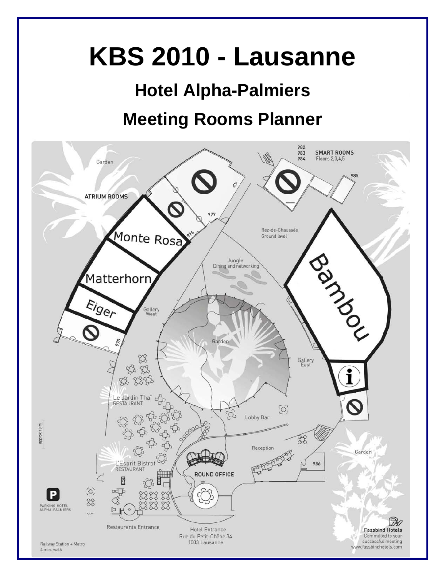# **KBS 2010 - Lausanne**

## **Hotel Alpha-Palmiers Meeting Rooms Planner**

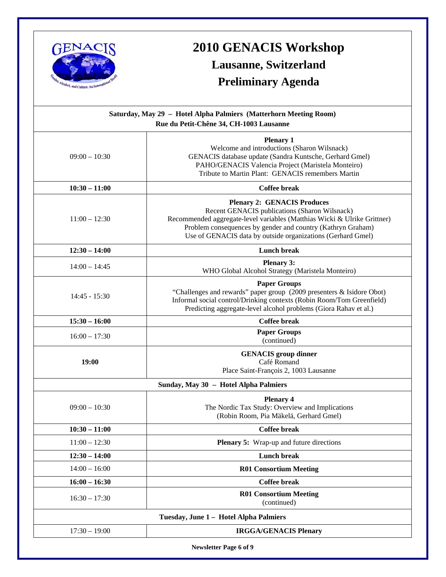

## **2010 GENACIS Workshop Lausanne, Switzerland**

## **Preliminary Agenda**

| Saturday, May 29 - Hotel Alpha Palmiers (Matterhorn Meeting Room)<br>Rue du Petit-Chêne 34, CH-1003 Lausanne |                                                                                                                                                                                                                                                                                               |
|--------------------------------------------------------------------------------------------------------------|-----------------------------------------------------------------------------------------------------------------------------------------------------------------------------------------------------------------------------------------------------------------------------------------------|
| $09:00 - 10:30$                                                                                              | <b>Plenary 1</b><br>Welcome and introductions (Sharon Wilsnack)<br>GENACIS database update (Sandra Kuntsche, Gerhard Gmel)<br>PAHO/GENACIS Valencia Project (Maristela Monteiro)<br>Tribute to Martin Plant: GENACIS remembers Martin                                                         |
| $10:30 - 11:00$                                                                                              | <b>Coffee break</b>                                                                                                                                                                                                                                                                           |
| $11:00 - 12:30$                                                                                              | <b>Plenary 2: GENACIS Produces</b><br>Recent GENACIS publications (Sharon Wilsnack)<br>Recommended aggregate-level variables (Matthias Wicki & Ulrike Grittner)<br>Problem consequences by gender and country (Kathryn Graham)<br>Use of GENACIS data by outside organizations (Gerhard Gmel) |
| $12:30 - 14:00$                                                                                              | <b>Lunch break</b>                                                                                                                                                                                                                                                                            |
| $14:00 - 14:45$                                                                                              | <b>Plenary 3:</b><br>WHO Global Alcohol Strategy (Maristela Monteiro)                                                                                                                                                                                                                         |
| $14:45 - 15:30$                                                                                              | <b>Paper Groups</b><br>"Challenges and rewards" paper group (2009 presenters & Isidore Obot)<br>Informal social control/Drinking contexts (Robin Room/Tom Greenfield)<br>Predicting aggregate-level alcohol problems (Giora Rahav et al.)                                                     |
| $15:30 - 16:00$                                                                                              | <b>Coffee break</b>                                                                                                                                                                                                                                                                           |
| $16:00 - 17:30$                                                                                              | <b>Paper Groups</b><br>(continued)                                                                                                                                                                                                                                                            |
| 19:00                                                                                                        | <b>GENACIS</b> group dinner<br>Café Romand<br>Place Saint-François 2, 1003 Lausanne                                                                                                                                                                                                           |
| Sunday, May 30 - Hotel Alpha Palmiers                                                                        |                                                                                                                                                                                                                                                                                               |
| $09:00 - 10:30$                                                                                              | <b>Plenary 4</b><br>The Nordic Tax Study: Overview and Implications<br>(Robin Room, Pia Mäkelä, Gerhard Gmel)                                                                                                                                                                                 |
| $10:30 - 11:00$                                                                                              | <b>Coffee break</b>                                                                                                                                                                                                                                                                           |
| $11:00 - 12:30$                                                                                              | <b>Plenary 5:</b> Wrap-up and future directions                                                                                                                                                                                                                                               |
| $12:30 - 14:00$                                                                                              | Lunch break                                                                                                                                                                                                                                                                                   |
| $14:00 - 16:00$                                                                                              | <b>R01 Consortium Meeting</b>                                                                                                                                                                                                                                                                 |
| $16:00 - 16:30$                                                                                              | <b>Coffee break</b>                                                                                                                                                                                                                                                                           |
| $16:30 - 17:30$                                                                                              | <b>R01 Consortium Meeting</b><br>(continued)                                                                                                                                                                                                                                                  |
| Tuesday, June 1 - Hotel Alpha Palmiers                                                                       |                                                                                                                                                                                                                                                                                               |
| $17:30 - 19:00$                                                                                              | <b>IRGGA/GENACIS Plenary</b>                                                                                                                                                                                                                                                                  |
| <b>Newsletter Page 6 of 9</b>                                                                                |                                                                                                                                                                                                                                                                                               |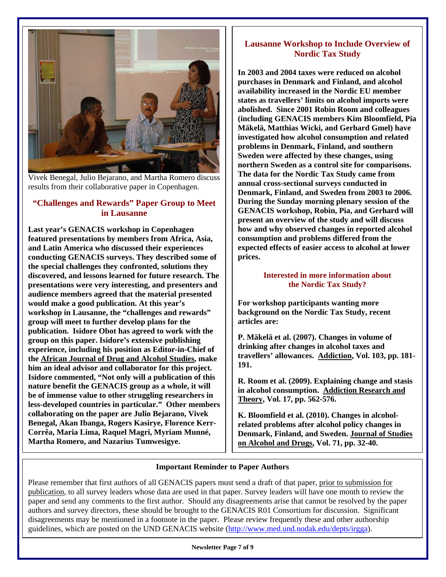

Vivek Benegal, Julio Bejarano, and Martha Romero discuss results from their collaborative paper in Copenhagen.

## **"Challenges and Rewards" Paper Group to Meet in Lausanne**

**Last year's GENACIS workshop in Copenhagen featured presentations by members from Africa, Asia, and Latin America who discussed their experiences conducting GENACIS surveys. They described some of the special challenges they confronted, solutions they discovered, and lessons learned for future research. The presentations were very interesting, and presenters and audience members agreed that the material presented would make a good publication. At this year's workshop in Lausanne, the "challenges and rewards" group will meet to further develop plans for the publication. Isidore Obot has agreed to work with the group on this paper. Isidore's extensive publishing experience, including his position as Editor-in-Chief of the African Journal of Drug and Alcohol Studies, make him an ideal advisor and collaborator for this project. Isidore commented, "Not only will a publication of this nature benefit the GENACIS group as a whole, it will be of immense value to other struggling researchers in less-developed countries in particular." Other members collaborating on the paper are Julio Bejarano, Vivek Benegal, Akan Ibanga, Rogers Kasirye, Florence Kerr-Corrêa, Maria Lima, Raquel Magri, Myriam Munné, Martha Romero, and Nazarius Tumwesigye.** 

## **Lausanne Workshop to Include Overview of Nordic Tax Study**

**In 2003 and 2004 taxes were reduced on alcohol purchases in Denmark and Finland, and alcohol availability increased in the Nordic EU member states as travellers' limits on alcohol imports were abolished. Since 2001 Robin Room and colleagues (including GENACIS members Kim Bloomfield, Pia Mäkelä, Matthias Wicki, and Gerhard Gmel) have investigated how alcohol consumption and related problems in Denmark, Finland, and southern Sweden were affected by these changes, using northern Sweden as a control site for comparisons. The data for the Nordic Tax Study came from annual cross-sectional surveys conducted in Denmark, Finland, and Sweden from 2003 to 2006. During the Sunday morning plenary session of the GENACIS workshop, Robin, Pia, and Gerhard will present an overview of the study and will discuss how and why observed changes in reported alcohol consumption and problems differed from the expected effects of easier access to alcohol at lower prices.** 

### **Interested in more information about the Nordic Tax Study?**

**For workshop participants wanting more background on the Nordic Tax Study, recent articles are:** 

**P. Mäkelä et al. (2007). Changes in volume of drinking after changes in alcohol taxes and travellers' allowances. Addiction, Vol. 103, pp. 181- 191.** 

**R. Room et al. (2009). Explaining change and stasis in alcohol consumption. Addiction Research and Theory, Vol. 17, pp. 562-576.** 

**K. Bloomfield et al. (2010). Changes in alcoholrelated problems after alcohol policy changes in Denmark, Finland, and Sweden. Journal of Studies on Alcohol and Drugs, Vol. 71, pp. 32-40.**

### **Important Reminder to Paper Authors**

Please remember that first authors of all GENACIS papers must send a draft of that paper, prior to submission for publication, to all survey leaders whose data are used in that paper. Survey leaders will have one month to review the paper and send any comments to the first author. Should any disagreements arise that cannot be resolved by the paper authors and survey directors, these should be brought to the GENACIS R01 Consortium for discussion. Significant disagreements may be mentioned in a footnote in the paper. Please review frequently these and other authorship guidelines, which are posted on the UND GENACIS website ([http://www.med.und.nodak.edu/depts/irgga\)](http://www.med.und.nodak.edu/depts/irgga).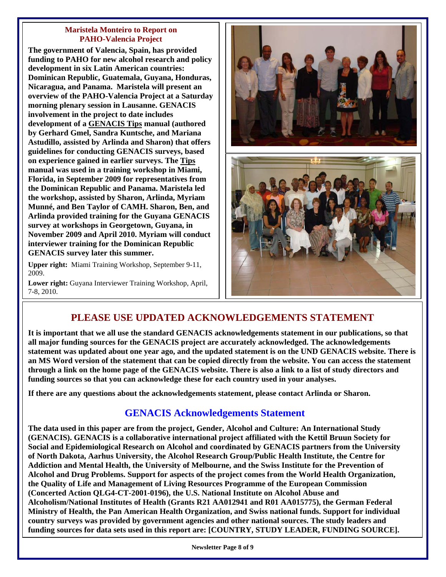#### **Maristela Monteiro to Report on PAHO-Valencia Project**

**The government of Valencia, Spain, has provided funding to PAHO for new alcohol research and policy development in six Latin American countries: Dominican Republic, Guatemala, Guyana, Honduras, Nicaragua, and Panama. Maristela will present an overview of the PAHO-Valencia Project at a Saturday morning plenary session in Lausanne. GENACIS involvement in the project to date includes development of a GENACIS Tips manual (authored by Gerhard Gmel, Sandra Kuntsche, and Mariana Astudillo, assisted by Arlinda and Sharon) that offers guidelines for conducting GENACIS surveys, based on experience gained in earlier surveys. The Tips manual was used in a training workshop in Miami, Florida, in September 2009 for representatives from the Dominican Republic and Panama. Maristela led the workshop, assisted by Sharon, Arlinda, Myriam Munné, and Ben Taylor of CAMH. Sharon, Ben, and Arlinda provided training for the Guyana GENACIS survey at workshops in Georgetown, Guyana, in November 2009 and April 2010. Myriam will conduct interviewer training for the Dominican Republic GENACIS survey later this summer.** 

**Upper right:** Miami Training Workshop, September 9-11, 2009.

**Lower right:** Guyana Interviewer Training Workshop, April, 7-8, 2010.



## **PLEASE USE UPDATED ACKNOWLEDGEMENTS STATEMENT**

**It is important that we all use the standard GENACIS acknowledgements statement in our publications, so that all major funding sources for the GENACIS project are accurately acknowledged. The acknowledgements statement was updated about one year ago, and the updated statement is on the UND GENACIS website. There is an MS Word version of the statement that can be copied directly from the website. You can access the statement through a link on the home page of the GENACIS website. There is also a link to a list of study directors and funding sources so that you can acknowledge these for each country used in your analyses.** 

**If there are any questions about the acknowledgements statement, please contact Arlinda or Sharon.** 

## **GENACIS Acknowledgements Statement**

**The data used in this paper are from the project, Gender, Alcohol and Culture: An International Study (GENACIS). GENACIS is a collaborative international project affiliated with the Kettil Bruun Society for Social and Epidemiological Research on Alcohol and coordinated by GENACIS partners from the University of North Dakota, Aarhus University, the Alcohol Research Group/Public Health Institute, the Centre for Addiction and Mental Health, the University of Melbourne, and the Swiss Institute for the Prevention of Alcohol and Drug Problems. Support for aspects of the project comes from the World Health Organization, the Quality of Life and Management of Living Resources Programme of the European Commission (Concerted Action QLG4-CT-2001-0196), the U.S. National Institute on Alcohol Abuse and Alcoholism/National Institutes of Health (Grants R21 AA012941 and R01 AA015775), the German Federal Ministry of Health, the Pan American Health Organization, and Swiss national funds. Support for individual country surveys was provided by government agencies and other national sources. The study leaders and funding sources for data sets used in this report are: [COUNTRY, STUDY LEADER, FUNDING SOURCE].**